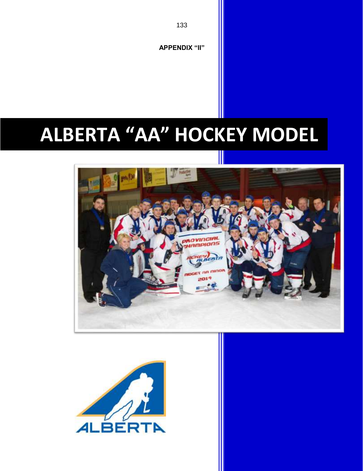



# **ALBERTA "AA" HOCKEY MODEL**

**APPENDIX "II"**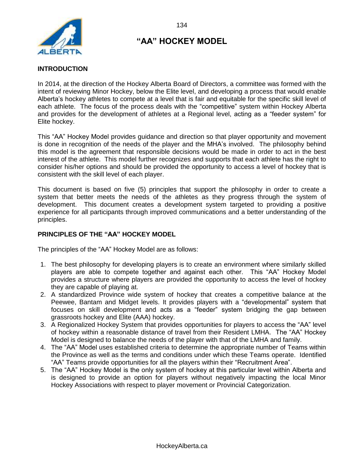

#### **INTRODUCTION**

In 2014, at the direction of the Hockey Alberta Board of Directors, a committee was formed with the intent of reviewing Minor Hockey, below the Elite level, and developing a process that would enable Alberta's hockey athletes to compete at a level that is fair and equitable for the specific skill level of each athlete. The focus of the process deals with the "competitive" system within Hockey Alberta and provides for the development of athletes at a Regional level, acting as a "feeder system" for Elite hockey.

This "AA" Hockey Model provides guidance and direction so that player opportunity and movement is done in recognition of the needs of the player and the MHA's involved. The philosophy behind this model is the agreement that responsible decisions would be made in order to act in the best interest of the athlete. This model further recognizes and supports that each athlete has the right to consider his/her options and should be provided the opportunity to access a level of hockey that is consistent with the skill level of each player.

This document is based on five (5) principles that support the philosophy in order to create a system that better meets the needs of the athletes as they progress through the system of development. This document creates a development system targeted to providing a positive experience for all participants through improved communications and a better understanding of the principles.

#### **PRINCIPLES OF THE "AA" HOCKEY MODEL**

The principles of the "AA" Hockey Model are as follows:

- 1. The best philosophy for developing players is to create an environment where similarly skilled players are able to compete together and against each other. This "AA" Hockey Model provides a structure where players are provided the opportunity to access the level of hockey they are capable of playing at.
- 2. A standardized Province wide system of hockey that creates a competitive balance at the Peewee, Bantam and Midget levels. It provides players with a "developmental" system that focuses on skill development and acts as a "feeder" system bridging the gap between grassroots hockey and Elite (AAA) hockey.
- 3. A Regionalized Hockey System that provides opportunities for players to access the "AA" level of hockey within a reasonable distance of travel from their Resident LMHA. The "AA" Hockey Model is designed to balance the needs of the player with that of the LMHA and family.
- 4. The "AA" Model uses established criteria to determine the appropriate number of Teams within the Province as well as the terms and conditions under which these Teams operate. Identified "AA" Teams provide opportunities for all the players within their "Recruitment Area".
- 5. The "AA" Hockey Model is the only system of hockey at this particular level within Alberta and is designed to provide an option for players without negatively impacting the local Minor Hockey Associations with respect to player movement or Provincial Categorization.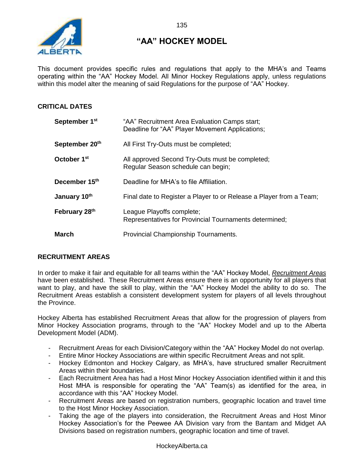

This document provides specific rules and regulations that apply to the MHA's and Teams operating within the "AA" Hockey Model. All Minor Hockey Regulations apply, unless regulations within this model alter the meaning of said Regulations for the purpose of "AA" Hockey.

#### **CRITICAL DATES**

| September 1 <sup>st</sup>  | "AA" Recruitment Area Evaluation Camps start;<br>Deadline for "AA" Player Movement Applications; |
|----------------------------|--------------------------------------------------------------------------------------------------|
| September 20 <sup>th</sup> | All First Try-Outs must be completed;                                                            |
| October 1 <sup>st</sup>    | All approved Second Try-Outs must be completed;<br>Regular Season schedule can begin;            |
| December 15 <sup>th</sup>  | Deadline for MHA's to file Affiliation.                                                          |
| January 10 <sup>th</sup>   | Final date to Register a Player to or Release a Player from a Team;                              |
| February 28 <sup>th</sup>  | League Playoffs complete;<br>Representatives for Provincial Tournaments determined;              |
| March                      | Provincial Championship Tournaments.                                                             |

#### **RECRUITMENT AREAS**

In order to make it fair and equitable for all teams within the "AA" Hockey Model, *Recruitment Areas* have been established. These Recruitment Areas ensure there is an opportunity for all players that want to play, and have the skill to play, within the "AA" Hockey Model the ability to do so. The Recruitment Areas establish a consistent development system for players of all levels throughout the Province.

Hockey Alberta has established Recruitment Areas that allow for the progression of players from Minor Hockey Association programs, through to the "AA" Hockey Model and up to the Alberta Development Model (ADM).

- Recruitment Areas for each Division/Category within the "AA" Hockey Model do not overlap.
- Entire Minor Hockey Associations are within specific Recruitment Areas and not split.
- Hockey Edmonton and Hockey Calgary, as MHA's, have structured smaller Recruitment Areas within their boundaries.
- Each Recruitment Area has had a Host Minor Hockey Association identified within it and this Host MHA is responsible for operating the "AA" Team(s) as identified for the area, in accordance with this "AA" Hockey Model.
- Recruitment Areas are based on registration numbers, geographic location and travel time to the Host Minor Hockey Association.
- Taking the age of the players into consideration, the Recruitment Areas and Host Minor Hockey Association's for the Peewee AA Division vary from the Bantam and Midget AA Divisions based on registration numbers, geographic location and time of travel.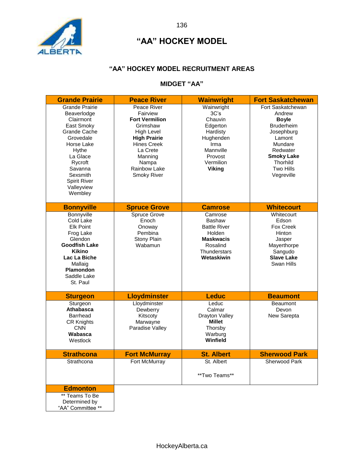

#### **"AA" HOCKEY MODEL RECRUITMENT AREAS**

## **MIDGET "AA"**

| <b>Grande Prairie</b>                                                                                                                                                                                             | <b>Peace River</b>                                                                                                                                                                            | <b>Wainwright</b>                                                                                                                | <b>Fort Saskatchewan</b>                                                                                                                                                    |
|-------------------------------------------------------------------------------------------------------------------------------------------------------------------------------------------------------------------|-----------------------------------------------------------------------------------------------------------------------------------------------------------------------------------------------|----------------------------------------------------------------------------------------------------------------------------------|-----------------------------------------------------------------------------------------------------------------------------------------------------------------------------|
| <b>Grande Prairie</b><br>Beaverlodge<br>Clairmont<br>East Smoky<br>Grande Cache<br>Grovedale<br>Horse Lake<br>Hythe<br>La Glace<br>Rycroft<br>Savanna<br>Sexsmith<br><b>Spirit River</b><br>Valleyview<br>Wembley | Peace River<br>Fairview<br><b>Fort Vermilion</b><br>Grimshaw<br><b>High Level</b><br><b>High Prairie</b><br><b>Hines Creek</b><br>La Crete<br>Manning<br>Nampa<br>Rainbow Lake<br>Smoky River | Wainwright<br>3C's<br>Chauvin<br>Edgerton<br>Hardisty<br>Hughenden<br>Irma<br>Mannville<br>Provost<br>Vermilion<br><b>Viking</b> | Fort Saskatchewan<br>Andrew<br><b>Boyle</b><br>Bruderheim<br>Josephburg<br>Lamont<br>Mundare<br>Redwater<br><b>Smoky Lake</b><br><b>Thorhild</b><br>Two Hills<br>Vegreville |
| <b>Bonnyville</b>                                                                                                                                                                                                 | <b>Spruce Grove</b>                                                                                                                                                                           | <b>Camrose</b>                                                                                                                   | <b>Whitecourt</b>                                                                                                                                                           |
| Bonnyville<br>Cold Lake<br><b>Elk Point</b><br>Frog Lake<br>Glendon<br><b>Goodfish Lake</b><br><b>Kikino</b><br>Lac La Biche<br>Mallaig<br>Plamondon<br>Saddle Lake<br>St. Paul                                   | Spruce Grove<br>Enoch<br>Onoway<br>Pembina<br>Stony Plain<br>Wabamun                                                                                                                          | Camrose<br>Bashaw<br><b>Battle River</b><br>Holden<br><b>Maskwacis</b><br>Rosalind<br>Thunderstars<br>Wetaskiwin                 | Whitecourt<br>Edson<br><b>Fox Creek</b><br>Hinton<br>Jasper<br>Mayerthorpe<br>Sangudo<br><b>Slave Lake</b><br>Swan Hills                                                    |
| <b>Sturgeon</b>                                                                                                                                                                                                   | <b>Lloydminster</b>                                                                                                                                                                           | <b>Leduc</b>                                                                                                                     | <b>Beaumont</b>                                                                                                                                                             |
| Sturgeon<br>Athabasca<br><b>Barrhead</b><br><b>CR Knights</b><br><b>CNN</b><br>Wabasca<br>Westlock                                                                                                                | Lloydminster<br>Dewberry<br>Kitscoty<br>Marwayne<br>Paradise Valley                                                                                                                           | Leduc<br>Calmar<br>Drayton Valley<br>Millet<br>Thorsby<br>Warburg<br>Winfield                                                    | <b>Beaumont</b><br>Devon<br>New Sarepta                                                                                                                                     |
| <b>Strathcona</b>                                                                                                                                                                                                 | <b>Fort McMurray</b>                                                                                                                                                                          | <b>St. Albert</b>                                                                                                                | <b>Sherwood Park</b>                                                                                                                                                        |
| Strathcona                                                                                                                                                                                                        | Fort McMurray                                                                                                                                                                                 | St. Albert<br>**Two Teams**                                                                                                      | <b>Sherwood Park</b>                                                                                                                                                        |
| <b>Edmonton</b>                                                                                                                                                                                                   |                                                                                                                                                                                               |                                                                                                                                  |                                                                                                                                                                             |
| ** Teams To Be<br>Determined by<br>"AA" Committee **                                                                                                                                                              |                                                                                                                                                                                               |                                                                                                                                  |                                                                                                                                                                             |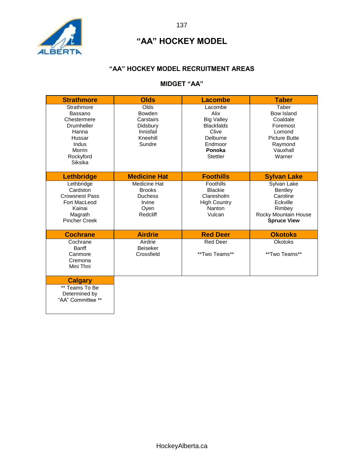

#### **"AA" HOCKEY MODEL RECRUITMENT AREAS**

## **MIDGET "AA"**

| <b>Strathmore</b>                                                                                                | <b>Olds</b>                                                                       | <b>Lacombe</b>                                                                                                         | <b>Taber</b>                                                                                                          |
|------------------------------------------------------------------------------------------------------------------|-----------------------------------------------------------------------------------|------------------------------------------------------------------------------------------------------------------------|-----------------------------------------------------------------------------------------------------------------------|
| Strathmore<br>Bassano<br>Chestermere<br>Drumheller<br>Hanna<br>Hussar<br>Indus<br>Morrin<br>Rockyford<br>Siksika | Olds<br><b>Bowden</b><br>Carstairs<br>Didsbury<br>Innisfail<br>Kneehill<br>Sundre | Lacombe<br>Alix<br><b>Big Valley</b><br><b>Blackfalds</b><br>Clive<br>Delburne<br>Endmoor<br>Ponoka<br><b>Stettler</b> | Taber<br><b>Bow Island</b><br>Coaldale<br>Foremost<br>Lomond<br><b>Picture Butte</b><br>Raymond<br>Vauxhall<br>Warner |
| <b>Lethbridge</b>                                                                                                | <b>Medicine Hat</b>                                                               | <b>Foothills</b>                                                                                                       | <b>Sylvan Lake</b>                                                                                                    |
| Lethbridge<br>Cardston<br><b>Crowsnest Pass</b><br>Fort MacLeod<br>Kainai<br>Magrath<br><b>Pincher Creek</b>     | Medicine Hat<br><b>Brooks</b><br><b>Duchess</b><br>Irvine<br>Oven<br>Redcliff     | Foothills<br><b>Blackie</b><br>Claresholm<br><b>High Country</b><br>Nanton<br>Vulcan                                   | Sylvan Lake<br>Bentley<br>Caroline<br>Eckville<br>Rimbey<br>Rocky Mountain House<br><b>Spruce View</b>                |
| <b>Cochrane</b>                                                                                                  | <b>Airdrie</b>                                                                    | <b>Red Deer</b>                                                                                                        | <b>Okotoks</b>                                                                                                        |
| Cochrane<br><b>Banff</b><br>Canmore<br>Cremona<br>Mini Thni                                                      | Airdrie<br><b>Beiseker</b><br>Crossfield                                          | <b>Red Deer</b><br>**Two Teams**                                                                                       | <b>Okotoks</b><br>**Two Teams**                                                                                       |
| <b>Calgary</b><br>** Teams To Be<br>Determined by<br>"AA" Committee **                                           |                                                                                   |                                                                                                                        |                                                                                                                       |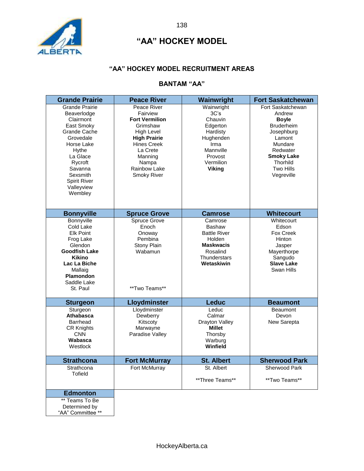

#### **"AA" HOCKEY MODEL RECRUITMENT AREAS**

## **BANTAM "AA"**

| <b>Grande Prairie</b>                                                                                                                                                                                             | <b>Peace River</b>                                                                                                                                                                                   | Wainwright                                                                                                                       | <b>Fort Saskatchewan</b>                                                                                                                                                           |
|-------------------------------------------------------------------------------------------------------------------------------------------------------------------------------------------------------------------|------------------------------------------------------------------------------------------------------------------------------------------------------------------------------------------------------|----------------------------------------------------------------------------------------------------------------------------------|------------------------------------------------------------------------------------------------------------------------------------------------------------------------------------|
| <b>Grande Prairie</b><br>Beaverlodge<br>Clairmont<br>East Smoky<br>Grande Cache<br>Grovedale<br>Horse Lake<br>Hythe<br>La Glace<br>Rycroft<br>Savanna<br>Sexsmith<br><b>Spirit River</b><br>Valleyview<br>Wembley | Peace River<br>Fairview<br><b>Fort Vermilion</b><br>Grimshaw<br><b>High Level</b><br><b>High Prairie</b><br><b>Hines Creek</b><br>La Crete<br>Manning<br>Nampa<br>Rainbow Lake<br><b>Smoky River</b> | Wainwright<br>3C's<br>Chauvin<br>Edgerton<br>Hardisty<br>Hughenden<br>Irma<br>Mannville<br>Provost<br>Vermilion<br><b>Viking</b> | Fort Saskatchewan<br>Andrew<br><b>Boyle</b><br><b>Bruderheim</b><br>Josephburg<br>Lamont<br>Mundare<br>Redwater<br><b>Smoky Lake</b><br><b>Thorhild</b><br>Two Hills<br>Vegreville |
| <b>Bonnyville</b>                                                                                                                                                                                                 | <b>Spruce Grove</b>                                                                                                                                                                                  | <b>Camrose</b>                                                                                                                   | <b>Whitecourt</b>                                                                                                                                                                  |
| Bonnyville<br>Cold Lake<br><b>Elk Point</b><br>Frog Lake<br>Glendon<br><b>Goodfish Lake</b><br><b>Kikino</b><br>Lac La Biche<br>Mallaig<br><b>Plamondon</b><br>Saddle Lake<br>St. Paul                            | Spruce Grove<br>Enoch<br>Onoway<br>Pembina<br>Stony Plain<br>Wabamun<br>**Two Teams**                                                                                                                | Camrose<br>Bashaw<br><b>Battle River</b><br>Holden<br><b>Maskwacis</b><br>Rosalind<br><b>Thunderstars</b><br>Wetaskiwin          | Whitecourt<br>Edson<br><b>Fox Creek</b><br>Hinton<br>Jasper<br>Mayerthorpe<br>Sangudo<br><b>Slave Lake</b><br>Swan Hills                                                           |
| <b>Sturgeon</b>                                                                                                                                                                                                   | Lloydminster                                                                                                                                                                                         | <b>Leduc</b>                                                                                                                     | <b>Beaumont</b>                                                                                                                                                                    |
| Sturgeon<br><b>Athabasca</b><br><b>Barrhead</b><br><b>CR Knights</b><br><b>CNN</b><br>Wabasca<br>Westlock                                                                                                         | Lloydminster<br>Dewberry<br>Kitscoty<br>Marwayne<br>Paradise Valley                                                                                                                                  | Leduc<br>Calmar<br>Drayton Valley<br><b>Millet</b><br>Thorsby<br>Warburg<br>Winfield                                             | <b>Beaumont</b><br>Devon<br>New Sarepta                                                                                                                                            |
| <b>Strathcona</b>                                                                                                                                                                                                 | <b>Fort McMurray</b>                                                                                                                                                                                 | <b>St. Albert</b>                                                                                                                | <b>Sherwood Park</b>                                                                                                                                                               |
| Strathcona<br><b>Tofield</b>                                                                                                                                                                                      | Fort McMurray                                                                                                                                                                                        | St. Albert<br>**Three Teams**                                                                                                    | Sherwood Park<br>**Two Teams**                                                                                                                                                     |
| <b>Edmonton</b>                                                                                                                                                                                                   |                                                                                                                                                                                                      |                                                                                                                                  |                                                                                                                                                                                    |
| ** Teams To Be<br>Determined by<br>"AA" Committee **                                                                                                                                                              |                                                                                                                                                                                                      |                                                                                                                                  |                                                                                                                                                                                    |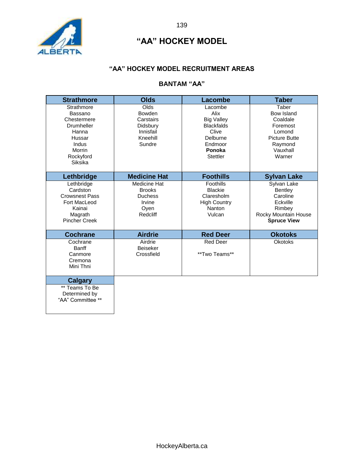

#### **"AA" HOCKEY MODEL RECRUITMENT AREAS**

## **BANTAM "AA"**

| <b>Strathmore</b>                                                                                                | <b>Olds</b>                                                                       | <b>Lacombe</b>                                                                                                         | <b>Taber</b>                                                                                                   |
|------------------------------------------------------------------------------------------------------------------|-----------------------------------------------------------------------------------|------------------------------------------------------------------------------------------------------------------------|----------------------------------------------------------------------------------------------------------------|
| Strathmore<br>Bassano<br>Chestermere<br>Drumheller<br>Hanna<br>Hussar<br>Indus<br>Morrin<br>Rockyford<br>Siksika | Olds<br><b>Bowden</b><br>Carstairs<br>Didsbury<br>Innisfail<br>Kneehill<br>Sundre | Lacombe<br>Alix<br><b>Big Valley</b><br><b>Blackfalds</b><br>Clive<br>Delburne<br>Endmoor<br>Ponoka<br><b>Stettler</b> | Taber<br>Bow Island<br>Coaldale<br>Foremost<br>Lomond<br><b>Picture Butte</b><br>Raymond<br>Vauxhall<br>Warner |
| Lethbridge                                                                                                       | <b>Medicine Hat</b>                                                               | <b>Foothills</b>                                                                                                       | <b>Sylvan Lake</b>                                                                                             |
| Lethbridge<br>Cardston<br><b>Crowsnest Pass</b><br>Fort MacLeod<br>Kainai<br>Magrath<br><b>Pincher Creek</b>     | Medicine Hat<br><b>Brooks</b><br><b>Duchess</b><br>Irvine<br>Oyen<br>Redcliff     | Foothills<br><b>Blackie</b><br>Claresholm<br><b>High Country</b><br>Nanton<br>Vulcan                                   | Sylvan Lake<br>Bentley<br>Caroline<br>Eckville<br>Rimbey<br>Rocky Mountain House<br><b>Spruce View</b>         |
| <b>Cochrane</b>                                                                                                  | <b>Airdrie</b>                                                                    | <b>Red Deer</b>                                                                                                        | <b>Okotoks</b>                                                                                                 |
| Cochrane<br><b>Banff</b><br>Canmore<br>Cremona<br>Mini Thni                                                      | Airdrie<br><b>Beiseker</b><br>Crossfield                                          | <b>Red Deer</b><br>**Two Teams**                                                                                       | <b>Okotoks</b>                                                                                                 |
| <b>Calgary</b><br>** Teams To Be<br>Determined by<br>"AA" Committee **                                           |                                                                                   |                                                                                                                        |                                                                                                                |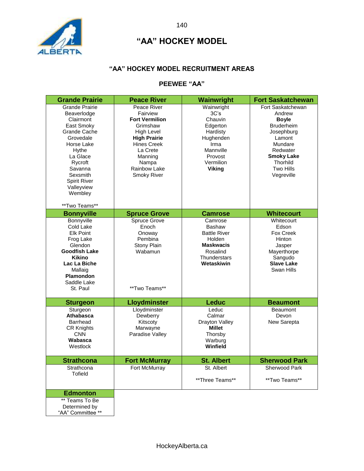

#### **"AA" HOCKEY MODEL RECRUITMENT AREAS**

## **PEEWEE "AA"**

| <b>Grande Prairie</b>                                                                                                                                                                                             | <b>Peace River</b>                                                                                                                                                                            | Wainwright                                                                                                                                  | <b>Fort Saskatchewan</b>                                                                                                                                                           |
|-------------------------------------------------------------------------------------------------------------------------------------------------------------------------------------------------------------------|-----------------------------------------------------------------------------------------------------------------------------------------------------------------------------------------------|---------------------------------------------------------------------------------------------------------------------------------------------|------------------------------------------------------------------------------------------------------------------------------------------------------------------------------------|
| <b>Grande Prairie</b><br>Beaverlodge<br>Clairmont<br>East Smoky<br>Grande Cache<br>Grovedale<br>Horse Lake<br>Hythe<br>La Glace<br>Rycroft<br>Savanna<br>Sexsmith<br><b>Spirit River</b><br>Valleyview<br>Wembley | Peace River<br>Fairview<br><b>Fort Vermilion</b><br>Grimshaw<br><b>High Level</b><br><b>High Prairie</b><br><b>Hines Creek</b><br>La Crete<br>Manning<br>Nampa<br>Rainbow Lake<br>Smoky River | Wainwright<br>3C <sub>s</sub><br>Chauvin<br>Edgerton<br>Hardisty<br>Hughenden<br>Irma<br>Mannville<br>Provost<br>Vermilion<br><b>Viking</b> | Fort Saskatchewan<br>Andrew<br><b>Boyle</b><br><b>Bruderheim</b><br>Josephburg<br>Lamont<br>Mundare<br>Redwater<br><b>Smoky Lake</b><br><b>Thorhild</b><br>Two Hills<br>Vegreville |
| **Two Teams**                                                                                                                                                                                                     |                                                                                                                                                                                               |                                                                                                                                             |                                                                                                                                                                                    |
| <b>Bonnyville</b><br>Bonnyville<br>Cold Lake<br><b>Elk Point</b><br>Frog Lake<br>Glendon<br><b>Goodfish Lake</b><br><b>Kikino</b><br>Lac La Biche<br>Mallaig<br>Plamondon<br>Saddle Lake<br>St. Paul              | <b>Spruce Grove</b><br>Spruce Grove<br>Enoch<br>Onoway<br>Pembina<br>Stony Plain<br>Wabamun<br>**Two Teams**                                                                                  | <b>Camrose</b><br>Camrose<br>Bashaw<br><b>Battle River</b><br>Holden<br><b>Maskwacis</b><br>Rosalind<br><b>Thunderstars</b><br>Wetaskiwin   | <b>Whitecourt</b><br>Whitecourt<br>Edson<br>Fox Creek<br>Hinton<br>Jasper<br>Mayerthorpe<br>Sangudo<br><b>Slave Lake</b><br>Swan Hills                                             |
| <b>Sturgeon</b>                                                                                                                                                                                                   | <b>Lloydminster</b>                                                                                                                                                                           | Leduc                                                                                                                                       | <b>Beaumont</b>                                                                                                                                                                    |
| Sturgeon<br><b>Athabasca</b><br><b>Barrhead</b><br><b>CR Knights</b><br><b>CNN</b><br>Wabasca<br>Westlock                                                                                                         | Lloydminster<br>Dewberry<br>Kitscoty<br>Marwayne<br>Paradise Valley                                                                                                                           | Leduc<br>Calmar<br>Drayton Valley<br><b>Millet</b><br>Thorsby<br>Warburg<br>Winfield                                                        | <b>Beaumont</b><br>Devon<br>New Sarepta                                                                                                                                            |
| <b>Strathcona</b>                                                                                                                                                                                                 | <b>Fort McMurray</b>                                                                                                                                                                          | <b>St. Albert</b>                                                                                                                           | <b>Sherwood Park</b>                                                                                                                                                               |
| Strathcona<br>Tofield                                                                                                                                                                                             | Fort McMurray                                                                                                                                                                                 | St. Albert<br>**Three Teams**                                                                                                               | Sherwood Park<br>**Two Teams**                                                                                                                                                     |
| <b>Edmonton</b>                                                                                                                                                                                                   |                                                                                                                                                                                               |                                                                                                                                             |                                                                                                                                                                                    |
| ** Teams To Be<br>Determined by<br>"AA" Committee **                                                                                                                                                              |                                                                                                                                                                                               |                                                                                                                                             |                                                                                                                                                                                    |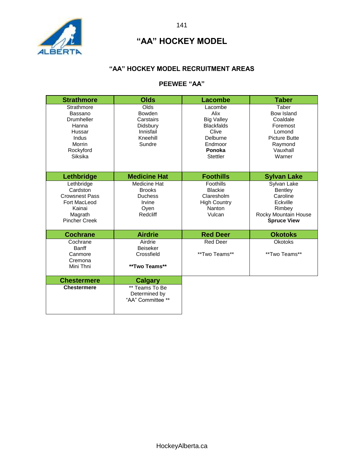

#### **"AA" HOCKEY MODEL RECRUITMENT AREAS**

## **PEEWEE "AA"**

| <b>Strathmore</b>                                                                                            | <b>Olds</b>                                                                   | <b>Lacombe</b>                                                                                                         | <b>Taber</b>                                                                                                   |
|--------------------------------------------------------------------------------------------------------------|-------------------------------------------------------------------------------|------------------------------------------------------------------------------------------------------------------------|----------------------------------------------------------------------------------------------------------------|
| Strathmore<br>Bassano<br><b>Drumheller</b><br>Hanna<br>Hussar<br>Indus<br>Morrin<br>Rockyford<br>Siksika     | Olds<br>Bowden<br>Carstairs<br>Didsbury<br>Innisfail<br>Kneehill<br>Sundre    | Lacombe<br>Alix<br><b>Big Valley</b><br><b>Blackfalds</b><br>Clive<br>Delburne<br>Endmoor<br>Ponoka<br><b>Stettler</b> | Taber<br>Bow Island<br>Coaldale<br>Foremost<br>Lomond<br><b>Picture Butte</b><br>Raymond<br>Vauxhall<br>Warner |
| Lethbridge                                                                                                   | <b>Medicine Hat</b>                                                           | <b>Foothills</b>                                                                                                       | <b>Sylvan Lake</b>                                                                                             |
| Lethbridge<br>Cardston<br><b>Crowsnest Pass</b><br>Fort MacLeod<br>Kainai<br>Magrath<br><b>Pincher Creek</b> | Medicine Hat<br><b>Brooks</b><br><b>Duchess</b><br>Irvine<br>Oyen<br>Redcliff | Foothills<br><b>Blackie</b><br>Claresholm<br><b>High Country</b><br>Nanton<br>Vulcan                                   | Sylvan Lake<br>Bentley<br>Caroline<br>Eckville<br>Rimbey<br>Rocky Mountain House<br><b>Spruce View</b>         |
| <b>Cochrane</b>                                                                                              | <b>Airdrie</b>                                                                | <b>Red Deer</b>                                                                                                        | <b>Okotoks</b>                                                                                                 |
| Cochrane<br><b>Banff</b><br>Canmore<br>Cremona<br>Mini Thni                                                  | Airdrie<br><b>Beiseker</b><br>Crossfield<br>**Two Teams**                     | <b>Red Deer</b><br>**Two Teams**                                                                                       | <b>Okotoks</b><br>**Two Teams**                                                                                |
| <b>Chestermere</b>                                                                                           | <b>Calgary</b>                                                                |                                                                                                                        |                                                                                                                |
| <b>Chestermere</b>                                                                                           | ** Teams To Be<br>Determined by<br>"AA" Committee **                          |                                                                                                                        |                                                                                                                |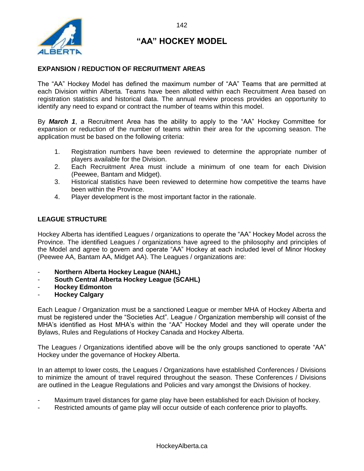

#### **EXPANSION / REDUCTION OF RECRUITMENT AREAS**

The "AA" Hockey Model has defined the maximum number of "AA" Teams that are permitted at each Division within Alberta. Teams have been allotted within each Recruitment Area based on registration statistics and historical data. The annual review process provides an opportunity to identify any need to expand or contract the number of teams within this model.

By *March 1*, a Recruitment Area has the ability to apply to the "AA" Hockey Committee for expansion or reduction of the number of teams within their area for the upcoming season. The application must be based on the following criteria:

- 1. Registration numbers have been reviewed to determine the appropriate number of players available for the Division.
- 2. Each Recruitment Area must include a minimum of one team for each Division (Peewee, Bantam and Midget).
- 3. Historical statistics have been reviewed to determine how competitive the teams have been within the Province.
- 4. Player development is the most important factor in the rationale.

#### **LEAGUE STRUCTURE**

Hockey Alberta has identified Leagues / organizations to operate the "AA" Hockey Model across the Province. The identified Leagues / organizations have agreed to the philosophy and principles of the Model and agree to govern and operate "AA" Hockey at each included level of Minor Hockey (Peewee AA, Bantam AA, Midget AA). The Leagues / organizations are:

- **Northern Alberta Hockey League (NAHL)**
- **South Central Alberta Hockey League (SCAHL)**
- **Hockey Edmonton**
- **Hockey Calgary**

Each League / Organization must be a sanctioned League or member MHA of Hockey Alberta and must be registered under the "Societies Act". League / Organization membership will consist of the MHA's identified as Host MHA's within the "AA" Hockey Model and they will operate under the Bylaws, Rules and Regulations of Hockey Canada and Hockey Alberta.

The Leagues / Organizations identified above will be the only groups sanctioned to operate "AA" Hockey under the governance of Hockey Alberta.

In an attempt to lower costs, the Leagues / Organizations have established Conferences / Divisions to minimize the amount of travel required throughout the season. These Conferences / Divisions are outlined in the League Regulations and Policies and vary amongst the Divisions of hockey.

- Maximum travel distances for game play have been established for each Division of hockey.
- Restricted amounts of game play will occur outside of each conference prior to playoffs.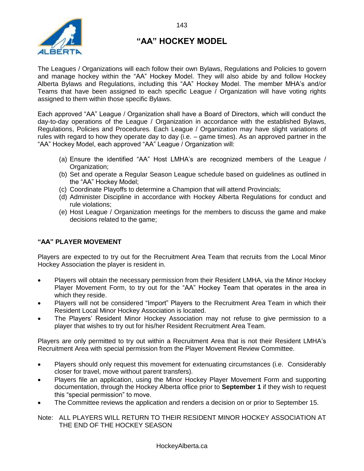

The Leagues / Organizations will each follow their own Bylaws, Regulations and Policies to govern and manage hockey within the "AA" Hockey Model. They will also abide by and follow Hockey Alberta Bylaws and Regulations, including this "AA" Hockey Model. The member MHA's and/or Teams that have been assigned to each specific League / Organization will have voting rights assigned to them within those specific Bylaws.

Each approved "AA" League / Organization shall have a Board of Directors, which will conduct the day-to-day operations of the League / Organization in accordance with the established Bylaws, Regulations, Policies and Procedures. Each League / Organization may have slight variations of rules with regard to how they operate day to day (i.e. – game times). As an approved partner in the "AA" Hockey Model, each approved "AA" League / Organization will:

- (a) Ensure the identified "AA" Host LMHA's are recognized members of the League / Organization;
- (b) Set and operate a Regular Season League schedule based on guidelines as outlined in the "AA" Hockey Model;
- (c) Coordinate Playoffs to determine a Champion that will attend Provincials;
- (d) Administer Discipline in accordance with Hockey Alberta Regulations for conduct and rule violations;
- (e) Host League / Organization meetings for the members to discuss the game and make decisions related to the game;

#### **"AA" PLAYER MOVEMENT**

Players are expected to try out for the Recruitment Area Team that recruits from the Local Minor Hockey Association the player is resident in.

- Players will obtain the necessary permission from their Resident LMHA, via the Minor Hockey Player Movement Form, to try out for the "AA" Hockey Team that operates in the area in which they reside.
- Players will not be considered "Import" Players to the Recruitment Area Team in which their Resident Local Minor Hockey Association is located.
- The Players' Resident Minor Hockey Association may not refuse to give permission to a player that wishes to try out for his/her Resident Recruitment Area Team.

Players are only permitted to try out within a Recruitment Area that is not their Resident LMHA's Recruitment Area with special permission from the Player Movement Review Committee.

- Players should only request this movement for extenuating circumstances (i.e. Considerably closer for travel, move without parent transfers).
- Players file an application, using the Minor Hockey Player Movement Form and supporting documentation, through the Hockey Alberta office prior to **September 1** if they wish to request this "special permission" to move.
- The Committee reviews the application and renders a decision on or prior to September 15.

Note: ALL PLAYERS WILL RETURN TO THEIR RESIDENT MINOR HOCKEY ASSOCIATION AT THE END OF THE HOCKEY SEASON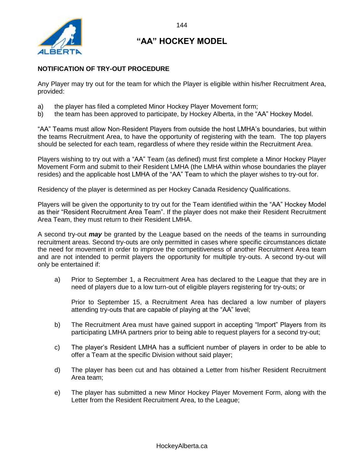

#### **NOTIFICATION OF TRY-OUT PROCEDURE**

Any Player may try out for the team for which the Player is eligible within his/her Recruitment Area, provided:

- a) the player has filed a completed Minor Hockey Player Movement form;
- b) the team has been approved to participate, by Hockey Alberta, in the "AA" Hockey Model.

"AA" Teams must allow Non-Resident Players from outside the host LMHA's boundaries, but within the teams Recruitment Area, to have the opportunity of registering with the team. The top players should be selected for each team, regardless of where they reside within the Recruitment Area.

Players wishing to try out with a "AA" Team (as defined) must first complete a Minor Hockey Player Movement Form and submit to their Resident LMHA (the LMHA within whose boundaries the player resides) and the applicable host LMHA of the "AA" Team to which the player wishes to try-out for.

Residency of the player is determined as per Hockey Canada Residency Qualifications.

Players will be given the opportunity to try out for the Team identified within the "AA" Hockey Model as their "Resident Recruitment Area Team". If the player does not make their Resident Recruitment Area Team, they must return to their Resident LMHA.

A second try-out *may* be granted by the League based on the needs of the teams in surrounding recruitment areas. Second try-outs are only permitted in cases where specific circumstances dictate the need for movement in order to improve the competitiveness of another Recruitment Area team and are not intended to permit players the opportunity for multiple try-outs. A second try-out will only be entertained if:

a) Prior to September 1, a Recruitment Area has declared to the League that they are in need of players due to a low turn-out of eligible players registering for try-outs; or

Prior to September 15, a Recruitment Area has declared a low number of players attending try-outs that are capable of playing at the "AA" level;

- b) The Recruitment Area must have gained support in accepting "Import" Players from its participating LMHA partners prior to being able to request players for a second try-out;
- c) The player's Resident LMHA has a sufficient number of players in order to be able to offer a Team at the specific Division without said player;
- d) The player has been cut and has obtained a Letter from his/her Resident Recruitment Area team;
- e) The player has submitted a new Minor Hockey Player Movement Form, along with the Letter from the Resident Recruitment Area, to the League;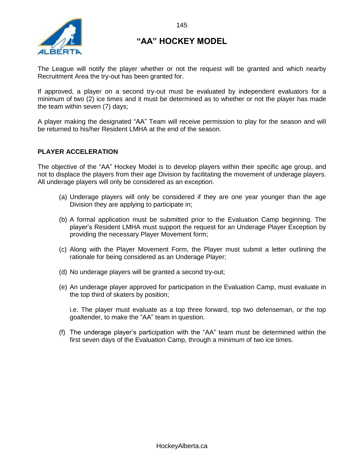

The League will notify the player whether or not the request will be granted and which nearby Recruitment Area the try-out has been granted for.

If approved, a player on a second try-out must be evaluated by independent evaluators for a minimum of two (2) ice times and it must be determined as to whether or not the player has made the team within seven (7) days;

A player making the designated "AA" Team will receive permission to play for the season and will be returned to his/her Resident LMHA at the end of the season.

#### **PLAYER ACCELERATION**

The objective of the "AA" Hockey Model is to develop players within their specific age group, and not to displace the players from their age Division by facilitating the movement of underage players. All underage players will only be considered as an exception.

- (a) Underage players will only be considered if they are one year younger than the age Division they are applying to participate in;
- (b) A formal application must be submitted prior to the Evaluation Camp beginning. The player's Resident LMHA must support the request for an Underage Player Exception by providing the necessary Player Movement form;
- (c) Along with the Player Movement Form, the Player must submit a letter outlining the rationale for being considered as an Underage Player;
- (d) No underage players will be granted a second try-out;
- (e) An underage player approved for participation in the Evaluation Camp, must evaluate in the top third of skaters by position;

i.e. The player must evaluate as a top three forward, top two defenseman, or the top goaltender, to make the "AA" team in question.

(f) The underage player's participation with the "AA" team must be determined within the first seven days of the Evaluation Camp, through a minimum of two ice times.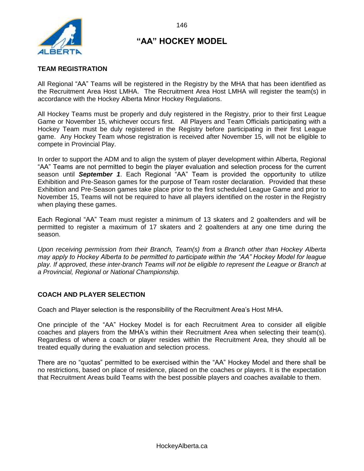

#### **TEAM REGISTRATION**

All Regional "AA" Teams will be registered in the Registry by the MHA that has been identified as the Recruitment Area Host LMHA. The Recruitment Area Host LMHA will register the team(s) in accordance with the Hockey Alberta Minor Hockey Regulations.

All Hockey Teams must be properly and duly registered in the Registry, prior to their first League Game or November 15, whichever occurs first. All Players and Team Officials participating with a Hockey Team must be duly registered in the Registry before participating in their first League game. Any Hockey Team whose registration is received after November 15, will not be eligible to compete in Provincial Play.

In order to support the ADM and to align the system of player development within Alberta, Regional "AA" Teams are not permitted to begin the player evaluation and selection process for the current season until *September 1*. Each Regional "AA" Team is provided the opportunity to utilize Exhibition and Pre-Season games for the purpose of Team roster declaration. Provided that these Exhibition and Pre-Season games take place prior to the first scheduled League Game and prior to November 15, Teams will not be required to have all players identified on the roster in the Registry when playing these games.

Each Regional "AA" Team must register a minimum of 13 skaters and 2 goaltenders and will be permitted to register a maximum of 17 skaters and 2 goaltenders at any one time during the season.

*Upon receiving permission from their Branch, Team(s) from a Branch other than Hockey Alberta may apply to Hockey Alberta to be permitted to participate within the "AA" Hockey Model for league play. If approved, these inter-branch Teams will not be eligible to represent the League or Branch at a Provincial, Regional or National Championship.* 

#### **COACH AND PLAYER SELECTION**

Coach and Player selection is the responsibility of the Recruitment Area's Host MHA.

One principle of the "AA" Hockey Model is for each Recruitment Area to consider all eligible coaches and players from the MHA's within their Recruitment Area when selecting their team(s). Regardless of where a coach or player resides within the Recruitment Area, they should all be treated equally during the evaluation and selection process.

There are no "quotas" permitted to be exercised within the "AA" Hockey Model and there shall be no restrictions, based on place of residence, placed on the coaches or players. It is the expectation that Recruitment Areas build Teams with the best possible players and coaches available to them.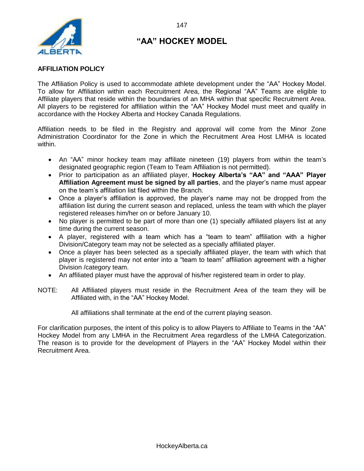

#### **AFFILIATION POLICY**

The Affiliation Policy is used to accommodate athlete development under the "AA" Hockey Model. To allow for Affiliation within each Recruitment Area, the Regional "AA" Teams are eligible to Affiliate players that reside within the boundaries of an MHA within that specific Recruitment Area. All players to be registered for affiliation within the "AA" Hockey Model must meet and qualify in accordance with the Hockey Alberta and Hockey Canada Regulations.

Affiliation needs to be filed in the Registry and approval will come from the Minor Zone Administration Coordinator for the Zone in which the Recruitment Area Host LMHA is located within.

- An "AA" minor hockey team may affiliate nineteen (19) players from within the team's designated geographic region (Team to Team Affiliation is not permitted).
- Prior to participation as an affiliated player, **Hockey Alberta's "AA" and "AAA" Player Affiliation Agreement must be signed by all parties**, and the player's name must appear on the team's affiliation list filed within the Branch.
- Once a player's affiliation is approved, the player's name may not be dropped from the affiliation list during the current season and replaced, unless the team with which the player registered releases him/her on or before January 10.
- No player is permitted to be part of more than one (1) specially affiliated players list at any time during the current season.
- A player, registered with a team which has a "team to team" affiliation with a higher Division/Category team may not be selected as a specially affiliated player.
- Once a player has been selected as a specially affiliated player, the team with which that player is registered may not enter into a "team to team" affiliation agreement with a higher Division /category team.
- An affiliated player must have the approval of his/her registered team in order to play.
- NOTE: All Affiliated players must reside in the Recruitment Area of the team they will be Affiliated with, in the "AA" Hockey Model.

All affiliations shall terminate at the end of the current playing season.

For clarification purposes, the intent of this policy is to allow Players to Affiliate to Teams in the "AA" Hockey Model from any LMHA in the Recruitment Area regardless of the LMHA Categorization. The reason is to provide for the development of Players in the "AA" Hockey Model within their Recruitment Area.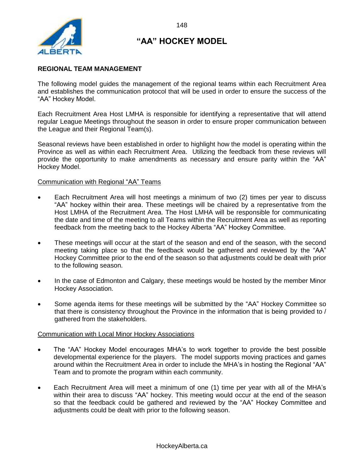

#### **REGIONAL TEAM MANAGEMENT**

The following model guides the management of the regional teams within each Recruitment Area and establishes the communication protocol that will be used in order to ensure the success of the "AA" Hockey Model.

Each Recruitment Area Host LMHA is responsible for identifying a representative that will attend regular League Meetings throughout the season in order to ensure proper communication between the League and their Regional Team(s).

Seasonal reviews have been established in order to highlight how the model is operating within the Province as well as within each Recruitment Area. Utilizing the feedback from these reviews will provide the opportunity to make amendments as necessary and ensure parity within the "AA" Hockey Model.

#### Communication with Regional "AA" Teams

- Each Recruitment Area will host meetings a minimum of two (2) times per year to discuss "AA" hockey within their area. These meetings will be chaired by a representative from the Host LMHA of the Recruitment Area. The Host LMHA will be responsible for communicating the date and time of the meeting to all Teams within the Recruitment Area as well as reporting feedback from the meeting back to the Hockey Alberta "AA" Hockey Committee.
- These meetings will occur at the start of the season and end of the season, with the second meeting taking place so that the feedback would be gathered and reviewed by the "AA" Hockey Committee prior to the end of the season so that adjustments could be dealt with prior to the following season.
- In the case of Edmonton and Calgary, these meetings would be hosted by the member Minor Hockey Association.
- Some agenda items for these meetings will be submitted by the "AA" Hockey Committee so that there is consistency throughout the Province in the information that is being provided to / gathered from the stakeholders.

#### Communication with Local Minor Hockey Associations

- The "AA" Hockey Model encourages MHA's to work together to provide the best possible developmental experience for the players. The model supports moving practices and games around within the Recruitment Area in order to include the MHA's in hosting the Regional "AA" Team and to promote the program within each community.
- Each Recruitment Area will meet a minimum of one (1) time per year with all of the MHA's within their area to discuss "AA" hockey. This meeting would occur at the end of the season so that the feedback could be gathered and reviewed by the "AA" Hockey Committee and adjustments could be dealt with prior to the following season.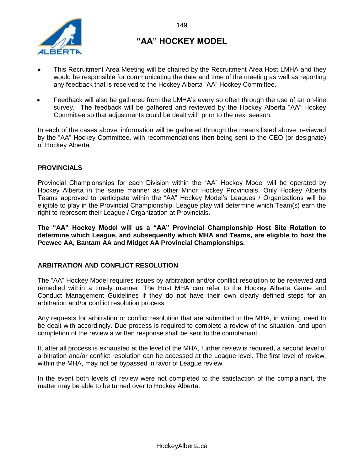

- This Recruitment Area Meeting will be chaired by the Recruitment Area Host LMHA and they would be responsible for communicating the date and time of the meeting as well as reporting any feedback that is received to the Hockey Alberta "AA" Hockey Committee.
- Feedback will also be gathered from the LMHA's every so often through the use of an on-line survey. The feedback will be gathered and reviewed by the Hockey Alberta "AA" Hockey Committee so that adjustments could be dealt with prior to the next season.

In each of the cases above, information will be gathered through the means listed above, reviewed by the "AA" Hockey Committee, with recommendations then being sent to the CEO (or designate) of Hockey Alberta.

#### **PROVINCIALS**

Provincial Championships for each Division within the "AA" Hockey Model will be operated by Hockey Alberta in the same manner as other Minor Hockey Provincials. Only Hockey Alberta Teams approved to participate within the "AA" Hockey Model's Leagues / Organizations will be eligible to play in the Provincial Championship. League play will determine which Team(s) earn the right to represent their League / Organization at Provincials.

**The "AA" Hockey Model will us a "AA" Provincial Championship Host Site Rotation to determine which League, and subsequently which MHA and Teams, are eligible to host the Peewee AA, Bantam AA and Midget AA Provincial Championships.**

#### **ARBITRATION AND CONFLICT RESOLUTION**

The "AA" Hockey Model requires issues by arbitration and/or conflict resolution to be reviewed and remedied within a timely manner. The Host MHA can refer to the Hockey Alberta Game and Conduct Management Guidelines if they do not have their own clearly defined steps for an arbitration and/or conflict resolution process.

Any requests for arbitration or conflict resolution that are submitted to the MHA, in writing, need to be dealt with accordingly. Due process is required to complete a review of the situation, and upon completion of the review a written response shall be sent to the complainant.

If, after all process is exhausted at the level of the MHA, further review is required, a second level of arbitration and/or conflict resolution can be accessed at the League level. The first level of review, within the MHA, may not be bypassed in favor of League review.

In the event both levels of review were not completed to the satisfaction of the complainant, the matter may be able to be turned over to Hockey Alberta.